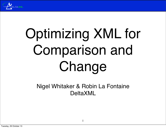

# Optimizing XML for Comparison and Change

Nigel Whitaker & Robin La Fontaine DeltaXML

1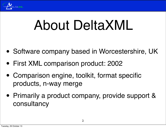

### About DeltaXML

- Software company based in Worcestershire, UK
- First XML comparison product: 2002
- Comparison engine, toolkit, format specific products, n-way merge
- Primarily a product company, provide support & consultancy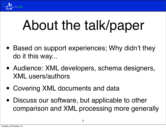

### About the talk/paper

- Based on support experiences; Why didn't they do it this way...
- Audience: XML developers, schema designers, XML users/authors
- Covering XML documents and data
- Discuss our software, but applicable to other comparison and XML processing more generally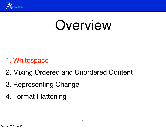

### Overview

#### 1. Whitespace

- 2. Mixing Ordered and Unordered Content
- 3. Representing Change
- 4. Format Flattening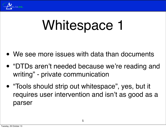

- We see more issues with data than documents
- "DTDs aren't needed because we're reading and writing" - private communication
- "Tools should strip out whitespace", yes, but it requires user intervention and isn't as good as a parser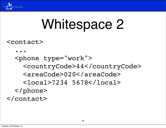

<contact>

 ... <phone type="work"> <countryCode>44</countryCode> <areaCode>020</areaCode> <local>7234 5678</local> </phone> </contact>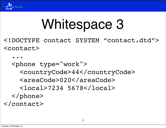

<!DOCTYPE contact SYSTEM "contact.dtd"> <contact>

 ... <phone type="work"> <countryCode>44</countryCode> <areaCode>020</areaCode> <local>7234 5678</local> </phone> </contact>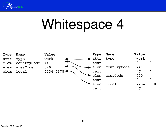

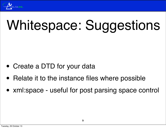

# Whitespace: Suggestions

- Create a DTD for your data
- Relate it to the instance files where possible
- xml:space useful for post parsing space control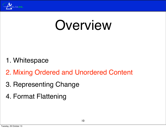

### Overview

- 1. Whitespace
- 2. Mixing Ordered and Unordered Content
- 3. Representing Change
- 4. Format Flattening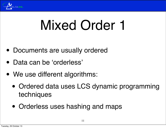

### Mixed Order 1

- Documents are usually ordered
- Data can be 'orderless'
- We use different algorithms:
	- Ordered data uses LCS dynamic programming techniques
	- Orderless uses hashing and maps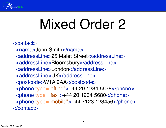

# Mixed Order 2

```
<contact>
  <name>John Smith</name>
  <addressLine>25 Malet Street</addressLine>
  <addressLine>Bloomsbury</addressLine>
  <addressLine>London</addressLine>
  <addressLine>UK</addressLine>
  <postcode>W1A 2AA</postcode>
  <phone type="office">+44 20 1234 5678</phone>
  <phone type="fax">+44 20 1234 5680</phone>
  <phone type="mobile">+44 7123 123456</phone>
</contact>
```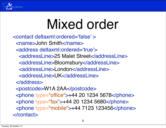

# Mixed order

<contact deltaxml:ordered='false' > <name>John Smith</name> <address deltaxml:ordered='true'> <addressLine>25 Malet Street</addressLine> <addressLine>Bloomsbury</addressLine> <addressLine>London</addressLine> <addressLine>UK</addressLine> </address> <postcode>W1A 2AA</postcode> <phone type="office">+44 20 1234 5678</phone> <phone type="fax">+44 20 1234 5680</phone> <phone type="mobile">+44 7123 123456</phone> </contact>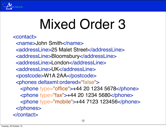

# Mixed Order 3

<contact>

 <name>John Smith</name> <addressLine>25 Malet Street</addressLine> <addressLine>Bloomsbury</addressLine> <addressLine>London</addressLine> <addressLine>UK</addressLine> <postcode>W1A 2AA</postcode> <phones deltaxml:ordered="false"> <phone type="office">+44 20 1234 5678</phone> <phone type="fax">+44 20 1234 5680</phone> <phone type="mobile">+44 7123 123456</phone> </phones> </contact>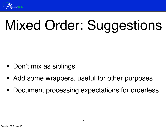

# Mixed Order: Suggestions

- Don't mix as siblings
- Add some wrappers, useful for other purposes
- Document processing expectations for orderless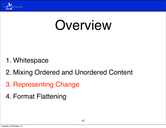

### Overview

- 1. Whitespace
- 2. Mixing Ordered and Unordered Content
- 3. Representing Change
- 4. Format Flattening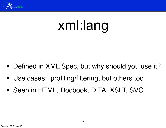

### xml:lang

- Defined in XML Spec, but why should you use it?
- Use cases: profiling/filtering, but others too
- Seen in HTML, Docbook, DITA, XSLT, SVG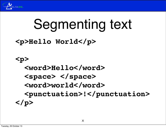

### Segmenting text

#### **<p>Hello World</p>**

### **<p> <word>Hello</word> <space> </space> <word>world</word> <punctuation>!</punctuation> </p>**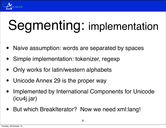

# Segmenting: implementation

- Naive assumption: words are separated by spaces
- Simple implementation: tokenizer, regexp
- Only works for latin/western alphabets
- Unicode Annex 29 is the proper way
- Implemented by International Components for Unicode (icu4j.jar)
- But which BreakIterator? Now we need xml:lang!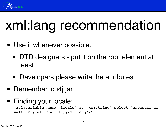

### xml:lang recommendation

- Use it whenever possible:
	- DTD designers put it on the root element at least
	- Developers please write the attributes
- Remember icu4j.jar
- Finding your locale:

<xsl:variable name="locale" as="xs:string" select="ancestor-orself::\*[@xml:lang][1]/@xml:lang"/>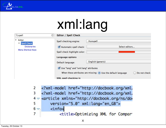

# xml:lang

| Qspell                                                                                  | G<br><b>Editor / Spell Check</b>                                                                                                                                         |                                                                       |              |
|-----------------------------------------------------------------------------------------|--------------------------------------------------------------------------------------------------------------------------------------------------------------------------|-----------------------------------------------------------------------|--------------|
| $\nabla$ Editor<br><b>Spell Check</b><br>▼<br><b>Dictionaries</b><br>Menu Shortcut Keys | Spell checking engine:<br>Automatic spell check:<br>Spell check highlight color:<br><b>Language options</b><br>Default language:<br>Use "lang" and "xml:lang" attributes | Hunspell<br>Select editors<br>English (generic)                       |              |
|                                                                                         | XML spell checking in                                                                                                                                                    | When these attributes are missing: $\bullet$ Use the default language | Do not check |

<?xml-model href="http://docbook.org/xml. 2 <?xml-model href="http://docbook.org/xml. 3  $4 \vee$  <article xmlns="http://docbook.org/ns/do 5 version="5.0" xml:lang="en\_GB"> <info>  $6 \nabla$  $\overline{7}$ <title>Optimizing XML for Compart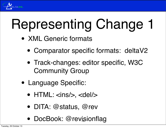

- XML Generic formats
	- Comparator specific formats: deltaV2
	- Track-changes: editor specific, W3C Community Group
- Language Specific:
	- $HTML: <$ ins/ $>$ ,  $<$ del/ $>$
	- DITA: @status, @rev
	- DocBook: @revisionflag 16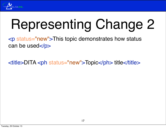

<p status="new">This topic demonstrates how status can be used </p>

<title>DITA <ph status="new">Topic</ph> title</title>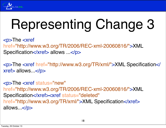

<p>The <xref href="http://www.w3.org/TR/2006/REC-xml-20060816/">XML Specification</xref> allows ...</p>

<p>The <xref href="http://www.w3.org/TR/xml/">XML Specification</ xref> allows...</p>

<p>The <xref status="new" href="http://www.w3.org/TR/2006/REC-xml-20060816/">XML Specification</xref><xref status="deleted" href="http://www.w3.org/TR/xml/">XML Specification</xref> allows...</p>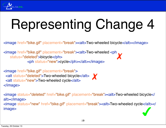

<image href="bike.gif" placement="break"><alt>Two-wheeled bicycle</alt></image>

<image href="bike.gif" placement="break"><alt>Two-wheeled <ph status="deleted">bicycle</ph> <ph status="new">cycle</ph></alt></image> ✗

```
<image href="bike.gif" placement="break">
<alt status="deleted">Two-wheeled bicycle</alt>
 <alt status="new">Two-wheeled cycle</alt>
</image>
```
<image status="deleted" href="bike.gif" placement="break"><alt>Two-wheeled bicycle</ alt></image> <image status="new" href="bike.gif" placement="break"><alt>Two-wheeled cycle</alt></ image>  $\overline{\phantom{a}}$ 

✗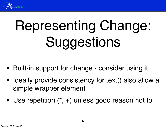

# Representing Change: Suggestions

- Built-in support for change consider using it
- Ideally provide consistency for text() also allow a simple wrapper element
- Use repetition  $(*, +)$  unless good reason not to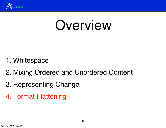

### Overview

- 1. Whitespace
- 2. Mixing Ordered and Unordered Content
- 3. Representing Change
- 4. Format Flattening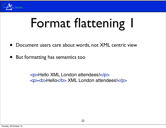

# Format flattening I

- Document users care about words, not XML centric view
- But formatting has semantics too

<p>Hello XML London attendees!</p> <p> > **<br />
Hello</b>** XML London attendees!</p>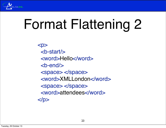

<p> <b-start/> <word>Hello</word>  $$  <space> </space> <word>XMLLondon</word> <space> </space> <word>attendees</word>  $<$ /p>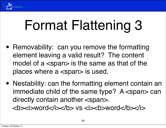

- Removability: can you remove the formatting element leaving a valid result? The content model of a <span> is the same as that of the places where a <span> is used.
- Nestability: can the formatting element contain an immediate child of the same type? A <span> can directly contain another <span>. *word</i>
xib> vs <i>
xb>word</i></b>>/i>*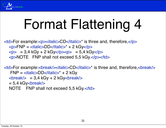

 $\langle \text{td} \rangle$ For example: $\langle \text{p}\rangle$  $\langle \text{italic} \rangle$ CD $\langle \text{italic} \rangle^*$  is three and, therefore, $\langle \text{p}\rangle$  $<$ p>FNP =  $<$ italic>DD $<$ /italic>\* + 2 kGy $<$ /p>  $<$ p> = 3,4 kGy + 2 kGy $<$ p> $<$ p> $=$  5,4 kGy $<$ p> <p>NOTE FNP shall not exceed 5,5 kGy.</p></td>

<td>For example:<break/><italic>CD</italic>\* is three and, therefore,<break/>  $FNP = *tila* = *DD* < *tila* = *i*$  $\langle$  = 3,4 kGy + 2 kGy $\langle$ break $\rangle$  $= 5.4$  kGy <br eak/> NOTE FNP shall not exceed 5,5 kGy.</td>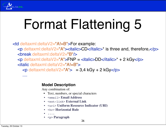

<td deltaxml:deltaV2="A!=B">For example: <p deltaxml:deltaV2="A"><italic>CD</italic>\* is three and, therefore,</p> <break deltaxml:deltaV2="B"/>  $\leq$ p deltaxml:deltaV2="A">FNP =  $\leq$ italic>DD $\leq$ /italic>\* + 2 kGy $\leq$ /p> <italic deltaxml:deltaV2="A!=B">  $\epsilon$  deltaxml:deltaV2="A" $> 3,4$  kGy + 2 kGy $\epsilon$ /p $>$ ....

#### **Model Description**

Any combination of:

- Text, numbers, or special characters
- <email> **Email Address**
- <ext-link> **External Link**
- <uri> **Uniform Resource Indicator (URI)**
- <hr> **Horizontal Rule**
- ....
- <p> **Paragraph**